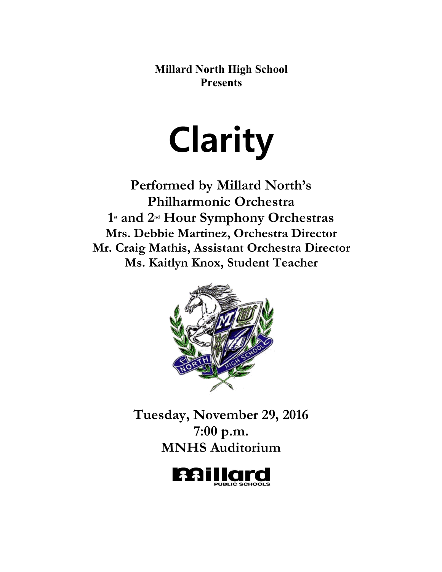**Millard North High School Presents**

# **Clarity**

**Performed by Millard North's Philharmonic Orchestra 1st and 2nd Hour Symphony Orchestras Mrs. Debbie Martinez, Orchestra Director Mr. Craig Mathis, Assistant Orchestra Director Ms. Kaitlyn Knox, Student Teacher**



**Tuesday, November 29, 2016 7:00 p.m. MNHS Auditorium**

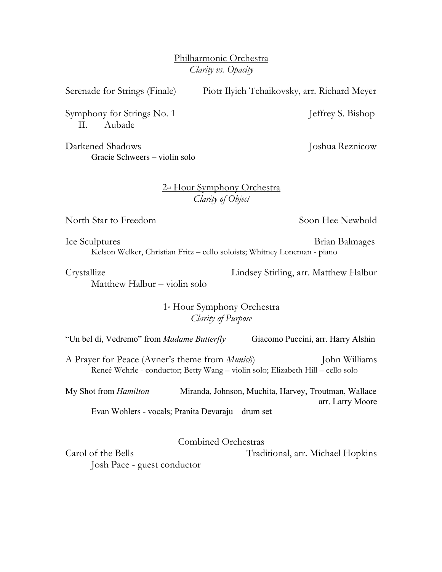Philharmonic Orchestra *Clarity vs. Opacity*

Serenade for Strings (Finale) Piotr Ilyich Tchaikovsky, arr. Richard Meyer

Symphony for Strings No. 1 Jeffrey S. Bishop II. Aubade

Darkened Shadows Joshua Reznicow Gracie Schweers – violin solo

# 2<sup>nd</sup> Hour Symphony Orchestra *Clarity of Object*

North Star to Freedom Soon Hee Newbold

Ice Sculptures Brian Balmages Kelson Welker, Christian Fritz – cello soloists; Whitney Loneman - piano

Matthew Halbur – violin solo

Crystallize Lindsey Stirling, arr. Matthew Halbur

1<sup>st</sup> Hour Symphony Orchestra *Clarity of Purpose*

"Un bel di, Vedremo" from *Madame Butterfly* Giacomo Puccini, arr. Harry Alshin

A Prayer for Peace (Avner's theme from *Munich*) John Williams Reneé Wehrle - conductor; Betty Wang – violin solo; Elizabeth Hill – cello solo

My Shot from *Hamilton* Miranda, Johnson, Muchita, Harvey, Troutman, Wallace arr. Larry Moore Evan Wohlers - vocals; Pranita Devaraju – drum set

Combined Orchestras

Carol of the Bells Traditional, arr. Michael Hopkins

Josh Pace - guest conductor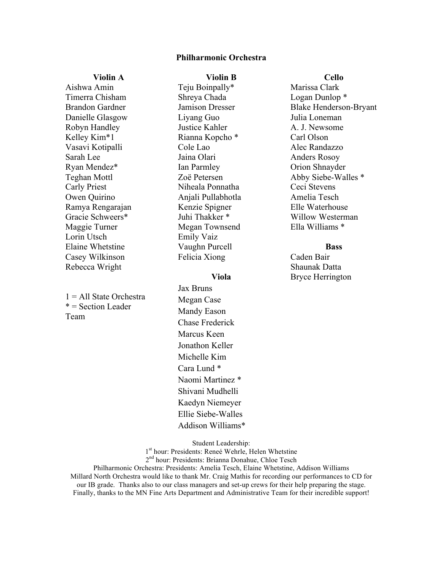## **Philharmonic Orchestra**

#### **Violin A**

Aishwa Amin Timerra Chisham Brandon Gardner Danielle Glasgow Robyn Handley Kelley Kim\*1 Vasavi Kotipalli Sarah Lee Ryan Mendez\* Teghan Mottl Carly Priest Owen Quirino Ramya Rengarajan Gracie Schweers\* Maggie Turner Lorin Utsch Elaine Whetstine Casey Wilkinson Rebecca Wright

1 = All State Orchestra  $* = Section$  Leader Team

## **Violin B**

Teju Boinpally\* Shreya Chada Jamison Dresser Liyang Guo Justice Kahler Rianna Kopcho \* Cole Lao Jaina Olari Ian Parmley Zoë Petersen Niheala Ponnatha Anjali Pullabhotla Kenzie Spigner Juhi Thakker \* Megan Townsend Emily Vaiz Vaughn Purcell Felicia Xiong

#### **Viola**

Jax Bruns Megan Case Mandy Eason Chase Frederick Marcus Keen Jonathon Keller Michelle Kim Cara Lund \* Naomi Martinez \* Shivani Mudhelli Kaedyn Niemeyer Ellie Siebe-Walles Addison Williams\* **Cello**

Marissa Clark Logan Dunlop \* Blake Henderson-Bryant Julia Loneman A. J. Newsome Carl Olson Alec Randazzo Anders Rosoy Orion Shnayder Abby Siebe-Walles \* Ceci Stevens Amelia Tesch Elle Waterhouse Willow Westerman Ella Williams \*

### **Bass**

Caden Bair Shaunak Datta Bryce Herrington

Student Leadership:

1<sup>st</sup> hour: Presidents: Reneé Wehrle, Helen Whetstine 2<sup>nd</sup> hour: Presidents: Brianna Donahue, Chloe Tesch

Philharmonic Orchestra: Presidents: Amelia Tesch, Elaine Whetstine, Addison Williams Millard North Orchestra would like to thank Mr. Craig Mathis for recording our performances to CD for our IB grade. Thanks also to our class managers and set-up crews for their help preparing the stage. Finally, thanks to the MN Fine Arts Department and Administrative Team for their incredible support!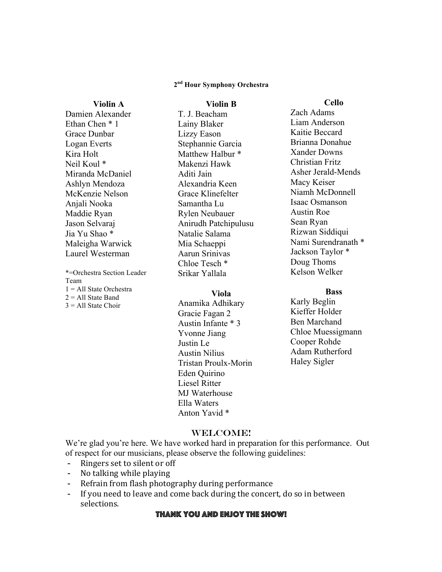## **2nd Hour Symphony Orchestra**

**Violin B**

# Damien Alexander Ethan Chen \* 1 Grace Dunbar Logan Everts Kira Holt Neil Koul \* Miranda McDaniel Ashlyn Mendoza McKenzie Nelson Anjali Nooka Maddie Ryan Jason Selvaraj Jia Yu Shao \* Maleigha Warwick Laurel Westerman

**Violin A**

\*=Orchestra Section Leader Team 1 = All State Orchestra  $2 =$  All State Band  $3 = All State Choice$ 

T. J. Beacham Lainy Blaker Lizzy Eason Stephannie Garcia Matthew Halbur \* Makenzi Hawk Aditi Jain Alexandria Keen Grace Klinefelter Samantha Lu Rylen Neubauer Anirudh Patchipulusu Natalie Salama Mia Schaeppi Aarun Srinivas Chloe Tesch \* Srikar Yallala

#### **Viola**

Anamika Adhikary Gracie Fagan 2 Austin Infante \* 3 Yvonne Jiang Justin Le Austin Nilius Tristan Proulx-Morin Eden Quirino Liesel Ritter MJ Waterhouse Ella Waters Anton Yavid \*

**Cello**

Zach Adams Liam Anderson Kaitie Beccard Brianna Donahue Xander Downs Christian Fritz Asher Jerald-Mends Macy Keiser Niamh McDonnell Isaac Osmanson Austin Roe Sean Ryan Rizwan Siddiqui Nami Surendranath \* Jackson Taylor \* Doug Thoms Kelson Welker

## **Bass**

Karly Beglin Kieffer Holder Ben Marchand Chloe Muessigmann Cooper Rohde Adam Rutherford Haley Sigler

## WELCOME!

We're glad you're here. We have worked hard in preparation for this performance. Out of respect for our musicians, please observe the following guidelines:

- Ringers set to silent or off
- No talking while playing
- Refrain from flash photography during performance
- If you need to leave and come back during the concert, do so in between selections.

# Thank you and enjoy the show!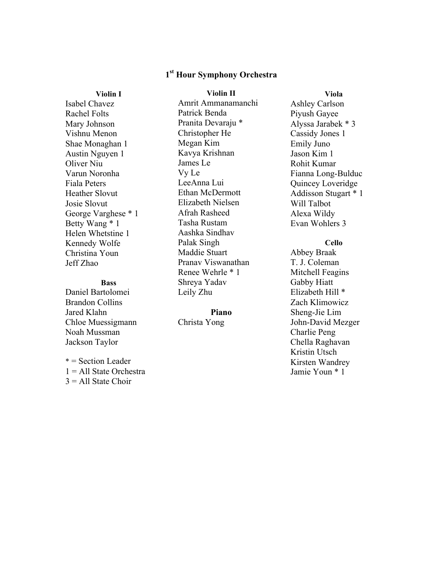# **1st Hour Symphony Orchestra**

## **Violin I**

Isabel Chavez Rachel Folts Mary Johnson Vishnu Menon Shae Monaghan 1 Austin Nguyen 1 Oliver Niu Varun Noronha Fiala Peters Heather Slovut Josie Slovut George Varghese \* 1 Betty Wang \* 1 Helen Whetstine 1 Kennedy Wolfe Christina Youn Jeff Zhao

# **Bass**

Daniel Bartolomei Brandon Collins Jared Klahn Chloe Muessigmann Noah Mussman Jackson Taylor

\* = Section Leader  $1 =$  All State Orchestra  $3 = All State Choice$ 

**Violin II** Amrit Ammanamanchi Patrick Benda Pranita Devaraju \* Christopher He Megan Kim Kavya Krishnan James Le Vy Le LeeAnna Lui Ethan McDermott Elizabeth Nielsen Afrah Rasheed Tasha Rustam Aashka Sindhav Palak Singh Maddie Stuart Pranav Viswanathan Renee Wehrle \* 1 Shreya Yadav Leily Zhu

# **Piano**

Christa Yong

**Viola** Ashley Carlson Piyush Gayee Alyssa Jarabek \* 3 Cassidy Jones 1 Emily Juno Jason Kim 1 Rohit Kumar Fianna Long-Bulduc Quincey Loveridge Addisson Stugart \* 1 Will Talbot Alexa Wildy Evan Wohlers 3

# **Cello**

Abbey Braak T. J. Coleman Mitchell Feagins Gabby Hiatt Elizabeth Hill \* Zach Klimowicz Sheng-Jie Lim John-David Mezger Charlie Peng Chella Raghavan Kristin Utsch Kirsten Wandrey Jamie Youn \* 1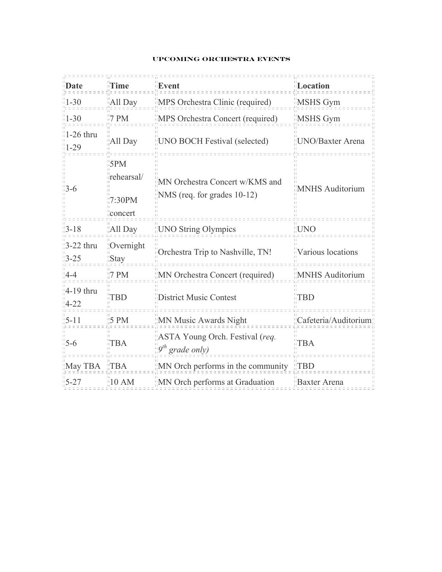# **Upcoming Orchestra Events**

| Date                              | <b>Time</b>                                           | Event                                                              | Location               |
|-----------------------------------|-------------------------------------------------------|--------------------------------------------------------------------|------------------------|
| $1 - 30$                          | All Day                                               | MPS Orchestra Clinic (required)                                    | MSHS Gym               |
| $1 - 30$                          | $\overline{17}$ PM                                    | MPS Orchestra Concert (required)                                   | MSHS Gym               |
| $1-26$ thru<br>$1 - 29$           | All Day                                               | "UNO BOCH Festival (selected)                                      | UNO/Baxter Arena       |
| $-3-6$                            | $\frac{1}{10}$ 5PM<br>rehearsal/<br>7:30PM<br>concert | MN Orchestra Concert w/KMS and<br>NMS (req. for grades 10-12)      | <b>MNHS Auditorium</b> |
| $13 - 18$                         | "All Day                                              | <b>TUNO String Olympics</b>                                        | <b>IIUNO</b>           |
| $\frac{1}{2}$ -22 thru<br>$13-25$ | Overnight<br>$\sqrt{S}$ tay                           | Orchestra Trip to Nashville, TN!                                   | Various locations      |
| $4 - 4$                           | $\parallel$ 7 PM                                      | MN Orchestra Concert (required)                                    | <b>MNHS</b> Auditorium |
| $4-19$ thru<br>$4 - 22$           | <b>TBD</b>                                            | <b>District Music Contest</b>                                      | <b>TBD</b>             |
| $15 - 11$                         | $15$ PM                                               | "MN Music Awards Night                                             | : Cafeteria/Auditorium |
| $-5-6$                            | TBA                                                   | "ASTA Young Orch. Festival (req.<br>$\mathbb{E}^{gth}$ grade only) | <b>TBA</b>             |
| $May$ TBA $MTSA$                  |                                                       | "MN Orch performs in the community "TBD                            |                        |
| $5 - 27$                          | $\parallel$ 10 AM                                     | MN Orch performs at Graduation                                     | <b>Baxter Arena</b>    |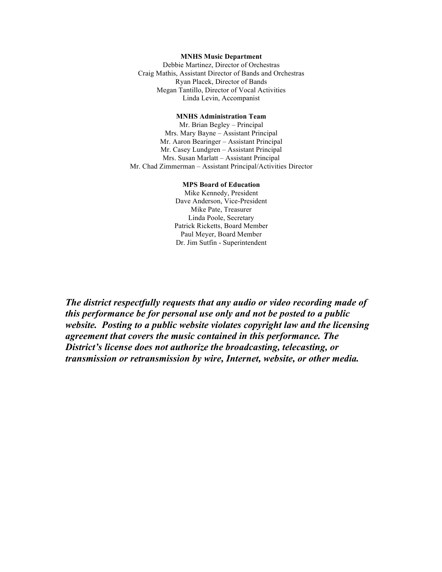#### **MNHS Music Department**

Debbie Martinez, Director of Orchestras Craig Mathis, Assistant Director of Bands and Orchestras Ryan Placek, Director of Bands Megan Tantillo, Director of Vocal Activities Linda Levin, Accompanist

#### **MNHS Administration Team**

Mr. Brian Begley – Principal Mrs. Mary Bayne – Assistant Principal Mr. Aaron Bearinger – Assistant Principal Mr. Casey Lundgren – Assistant Principal Mrs. Susan Marlatt – Assistant Principal Mr. Chad Zimmerman – Assistant Principal/Activities Director

#### **MPS Board of Education**

Mike Kennedy, President Dave Anderson, Vice-President Mike Pate, Treasurer Linda Poole, Secretary Patrick Ricketts, Board Member Paul Meyer, Board Member Dr. Jim Sutfin - Superintendent

*The district respectfully requests that any audio or video recording made of this performance be for personal use only and not be posted to a public website. Posting to a public website violates copyright law and the licensing agreement that covers the music contained in this performance. The District's license does not authorize the broadcasting, telecasting, or transmission or retransmission by wire, Internet, website, or other media.*